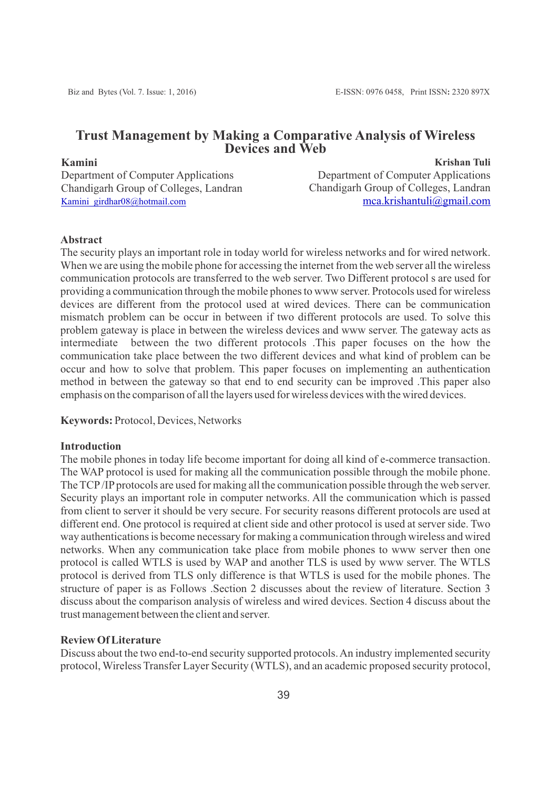# **Trust Management by Making a Comparative Analysis of Wireless Devices and Web**

# **Kamini**

Department of Computer Applications Chandigarh Group of Colleges, Landran [Kamini\\_girdhar08@hotmail.com](mailto:Kamini_girdhar08@hotmail.com)

**Krishan Tuli** Department of Computer Applications Chandigarh Group of Colleges, Landran [mca.krishantuli@gmail.com](mailto:mca.krishantuli@gmail.com)

# **Abstract**

The security plays an important role in today world for wireless networks and for wired network. When we are using the mobile phone for accessing the internet from the web server all the wireless communication protocols are transferred to the web server. Two Different protocol s are used for providing a communication through the mobile phones to www server. Protocols used for wireless devices are different from the protocol used at wired devices. There can be communication mismatch problem can be occur in between if two different protocols are used. To solve this problem gateway is place in between the wireless devices and www server. The gateway acts as intermediate between the two different protocols .This paper focuses on the how the communication take place between the two different devices and what kind of problem can be occur and how to solve that problem. This paper focuses on implementing an authentication method in between the gateway so that end to end security can be improved .This paper also emphasis on the comparison of all the layers used for wireless devices with the wired devices.

### **Keywords:** Protocol, Devices, Networks

## **Introduction**

The mobile phones in today life become important for doing all kind of e-commerce transaction. The WAP protocol is used for making all the communication possible through the mobile phone. The TCP/IP protocols are used for making all the communication possible through the web server. Security plays an important role in computer networks. All the communication which is passed from client to server it should be very secure. For security reasons different protocols are used at different end. One protocol is required at client side and other protocol is used at server side. Two way authentications is become necessary for making a communication through wireless and wired networks. When any communication take place from mobile phones to www server then one protocol is called WTLS is used by WAP and another TLS is used by www server. The WTLS protocol is derived from TLS only difference is that WTLS is used for the mobile phones. The structure of paper is as Follows .Section 2 discusses about the review of literature. Section 3 discuss about the comparison analysis of wireless and wired devices. Section 4 discuss about the trust management between the client and server.

### **Review Of Literature**

Discuss about the two end-to-end security supported protocols. An industry implemented security protocol, Wireless Transfer Layer Security (WTLS), and an academic proposed security protocol,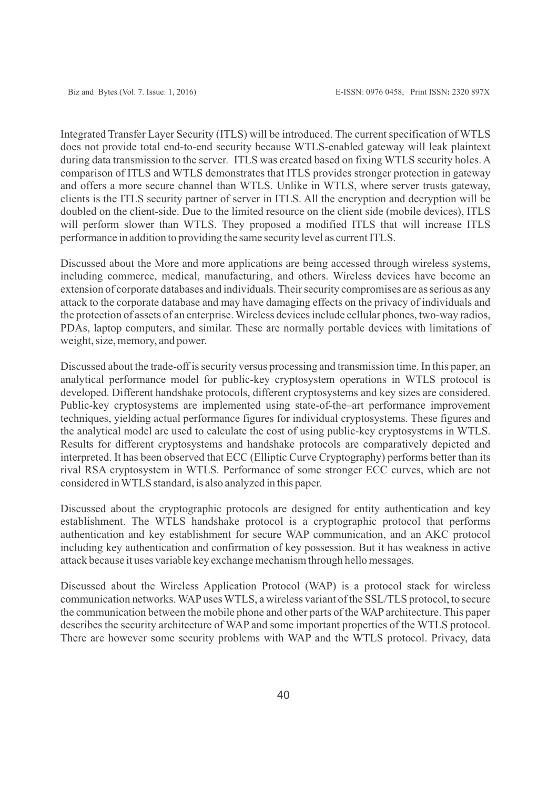Integrated Transfer Layer Security (ITLS) will be introduced. The current specification of WTLS does not provide total end-to-end security because WTLS-enabled gateway will leak plaintext during data transmission to the server. ITLS was created based on fixing WTLS security holes. A comparison of ITLS and WTLS demonstrates that ITLS provides stronger protection in gateway and offers a more secure channel than WTLS. Unlike in WTLS, where server trusts gateway, clients is the ITLS security partner of server in ITLS. All the encryption and decryption will be doubled on the client-side. Due to the limited resource on the client side (mobile devices), ITLS will perform slower than WTLS. They proposed a modified ITLS that will increase ITLS performance in addition to providing the same security level as current ITLS.

Discussed about the More and more applications are being accessed through wireless systems, including commerce, medical, manufacturing, and others. Wireless devices have become an extension of corporate databases and individuals. Their security compromises are as serious as any attack to the corporate database and may have damaging effects on the privacy of individuals and the protection of assets of an enterprise. Wireless devices include cellular phones, two-way radios, PDAs, laptop computers, and similar. These are normally portable devices with limitations of weight, size, memory, and power.

Discussed about the trade-off is security versus processing and transmission time. In this paper, an analytical performance model for public-key cryptosystem operations in WTLS protocol is developed. Different handshake protocols, different cryptosystems and key sizes are considered. Public-key cryptosystems are implemented using state-of-the–art performance improvement techniques, yielding actual performance figures for individual cryptosystems. These figures and the analytical model are used to calculate the cost of using public-key cryptosystems in WTLS. Results for different cryptosystems and handshake protocols are comparatively depicted and interpreted. It has been observed that ECC (Elliptic Curve Cryptography) performs better than its rival RSA cryptosystem in WTLS. Performance of some stronger ECC curves, which are not considered in WTLS standard, is also analyzed in this paper.

Discussed about the cryptographic protocols are designed for entity authentication and key establishment. The WTLS handshake protocol is a cryptographic protocol that performs authentication and key establishment for secure WAP communication, and an AKC protocol including key authentication and confirmation of key possession. But it has weakness in active attack because it uses variable key exchange mechanism through hello messages.

Discussed about the Wireless Application Protocol (WAP) is a protocol stack for wireless communication networks. WAPuses WTLS, a wireless variant of the SSL/TLS protocol, to secure the communication between the mobile phone and other parts of the WAP architecture. This paper describes the security architecture of WAP and some important properties of the WTLS protocol. There are however some security problems with WAP and the WTLS protocol. Privacy, data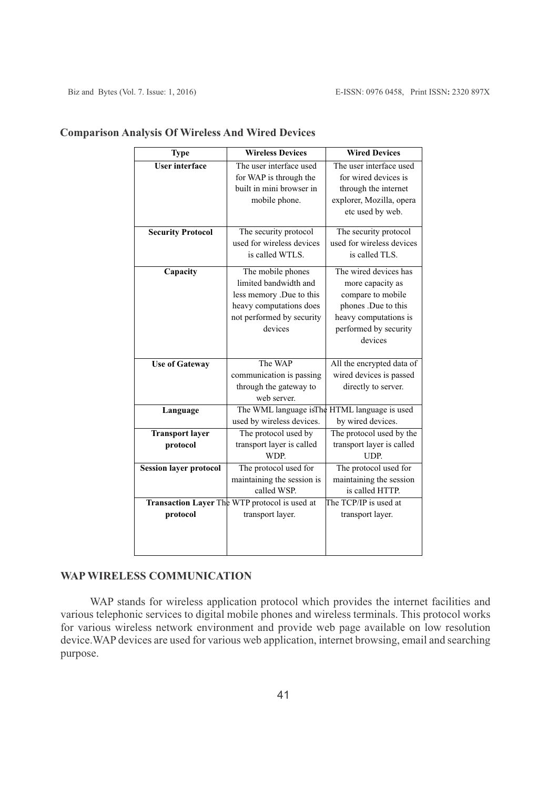| <b>Type</b>                   | <b>Wireless Devices</b>                       | <b>Wired Devices</b>                                 |
|-------------------------------|-----------------------------------------------|------------------------------------------------------|
| <b>User interface</b>         | The user interface used                       | The user interface used                              |
|                               | for WAP is through the                        | for wired devices is                                 |
|                               | built in mini browser in                      | through the internet                                 |
|                               | mobile phone.                                 | explorer, Mozilla, opera                             |
|                               |                                               | etc used by web.                                     |
| <b>Security Protocol</b>      | The security protocol                         | The security protocol                                |
|                               | used for wireless devices                     | used for wireless devices                            |
|                               | is called WTLS.                               | is called TLS.                                       |
| Capacity                      | The mobile phones                             | The wired devices has                                |
|                               | limited bandwidth and                         | more capacity as                                     |
|                               | less memory .Due to this                      | compare to mobile                                    |
|                               | heavy computations does                       | phones .Due to this                                  |
|                               | not performed by security                     | heavy computations is                                |
|                               | devices                                       | performed by security                                |
|                               |                                               | devices                                              |
|                               | The WAP                                       |                                                      |
| <b>Use of Gateway</b>         | communication is passing                      | All the encrypted data of<br>wired devices is passed |
|                               | through the gateway to                        | directly to server.                                  |
|                               | web server.                                   |                                                      |
| Language                      |                                               | The WML language is The HTML language is used        |
|                               | used by wireless devices.                     | by wired devices.                                    |
| <b>Transport layer</b>        | The protocol used by                          | The protocol used by the                             |
| protocol                      | transport layer is called                     | transport layer is called                            |
|                               | WDP.                                          | UDP.                                                 |
| <b>Session layer protocol</b> | The protocol used for                         | The protocol used for                                |
|                               | maintaining the session is                    | maintaining the session                              |
|                               | called WSP.                                   | is called HTTP.                                      |
|                               | Transaction Layer The WTP protocol is used at | The TCP/IP is used at                                |
| protocol                      | transport layer.                              | transport layer.                                     |
|                               |                                               |                                                      |
|                               |                                               |                                                      |
|                               |                                               |                                                      |

# **Comparison Analysis Of Wireless And Wired Devices**

# **WAP WIRELESS COMMUNICATION**

WAP stands for wireless application protocol which provides the internet facilities and various telephonic services to digital mobile phones and wireless terminals. This protocol works for various wireless network environment and provide web page available on low resolution device.WAP devices are used for various web application, internet browsing, email and searching purpose.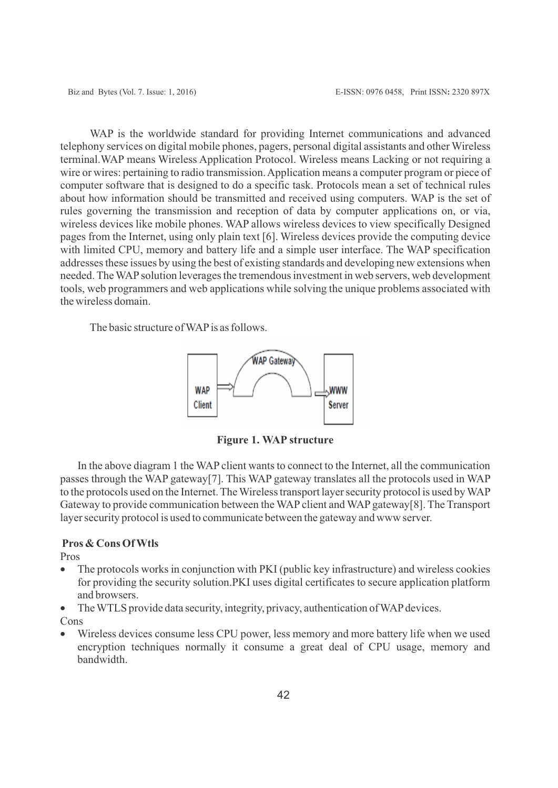WAP is the worldwide standard for providing Internet communications and advanced telephony services on digital mobile phones, pagers, personal digital assistants and other Wireless terminal.WAP means Wireless Application Protocol. Wireless means Lacking or not requiring a wire or wires: pertaining to radio transmission. Application means a computer program or piece of computer software that is designed to do a specific task. Protocols mean a set of technical rules about how information should be transmitted and received using computers. WAP is the set of rules governing the transmission and reception of data by computer applications on, or via, wireless devices like mobile phones. WAP allows wireless devices to view specifically Designed pages from the Internet, using only plain text [6]. Wireless devices provide the computing device with limited CPU, memory and battery life and a simple user interface. The WAP specification addresses these issues by using the best of existing standards and developing new extensions when needed. The WAPsolution leverages the tremendous investment in web servers, web development tools, web programmers and web applications while solving the unique problems associated with the wireless domain.

The basic structure of WAP is as follows.



**Figure 1. WAP structure**

In the above diagram 1 the WAP client wants to connect to the Internet, all the communication passes through the WAP gateway[7]. This WAP gateway translates all the protocols used in WAP to the protocols used on the Internet. The Wireless transport layer security protocol is used by WAP Gateway to provide communication between the WAP client and WAP gateway[8]. The Transport layer security protocol is used to communicate between the gateway and www server.

# **Pros & Cons Of Wtls**

#### Pros

- The protocols works in conjunction with PKI (public key infrastructure) and wireless cookies for providing the security solution.PKI uses digital certificates to secure application platform and browsers.
- The WTLS provide data security, integrity, privacy, authentication of WAP devices.
- Cons
- Wireless devices consume less CPU power, less memory and more battery life when we used encryption techniques normally it consume a great deal of CPU usage, memory and bandwidth.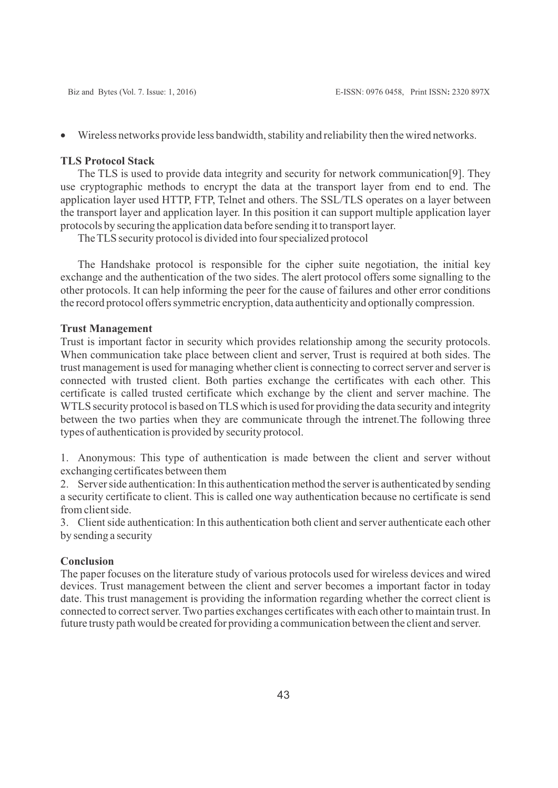· Wireless networks provide less bandwidth, stability and reliability then the wired networks.

### **TLS Protocol Stack**

The TLS is used to provide data integrity and security for network communication[9]. They use cryptographic methods to encrypt the data at the transport layer from end to end. The application layer used HTTP, FTP, Telnet and others. The SSL/TLS operates on a layer between the transport layer and application layer. In this position it can support multiple application layer protocols by securing the application data before sending it to transport layer.

The TLS security protocol is divided into four specialized protocol

The Handshake protocol is responsible for the cipher suite negotiation, the initial key exchange and the authentication of the two sides. The alert protocol offers some signalling to the other protocols. It can help informing the peer for the cause of failures and other error conditions the record protocol offers symmetric encryption, data authenticity and optionally compression.

#### **Trust Management**

Trust is important factor in security which provides relationship among the security protocols. When communication take place between client and server, Trust is required at both sides. The trust management is used for managing whether client is connecting to correct server and server is connected with trusted client. Both parties exchange the certificates with each other. This certificate is called trusted certificate which exchange by the client and server machine. The WTLS security protocol is based on TLS which is used for providing the data security and integrity between the two parties when they are communicate through the intrenet.The following three types of authentication is provided by security protocol.

1. Anonymous: This type of authentication is made between the client and server without exchanging certificates between them

2. Server side authentication: In this authentication method the server is authenticated by sending a security certificate to client. This is called one way authentication because no certificate is send from client side.

3. Client side authentication: In this authentication both client and server authenticate each other by sending a security

#### **Conclusion**

The paper focuses on the literature study of various protocols used for wireless devices and wired devices. Trust management between the client and server becomes a important factor in today date. This trust management is providing the information regarding whether the correct client is connected to correct server. Two parties exchanges certificates with each other to maintain trust. In future trusty path would be created for providing a communication between the client and server.